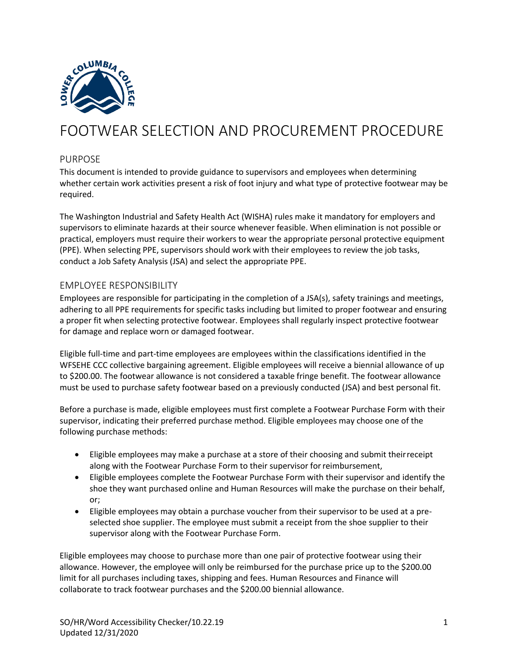

# FOOTWEAR SELECTION AND PROCUREMENT PROCEDURE

#### PURPOSE

This document is intended to provide guidance to supervisors and employees when determining whether certain work activities present a risk of foot injury and what type of protective footwear may be required.

The Washington Industrial and Safety Health Act (WISHA) rules make it mandatory for employers and supervisors to eliminate hazards at their source whenever feasible. When elimination is not possible or practical, employers must require their workers to wear the appropriate personal protective equipment (PPE). When selecting PPE, supervisors should work with their employees to review the job tasks, conduct a Job Safety Analysis (JSA) and select the appropriate PPE.

## EMPLOYEE RESPONSIBILITY

Employees are responsible for participating in the completion of a JSA(s), safety trainings and meetings, adhering to all PPE requirements for specific tasks including but limited to proper footwear and ensuring a proper fit when selecting protective footwear. Employees shall regularly inspect protective footwear for damage and replace worn or damaged footwear.

Eligible full-time and part-time employees are employees within the classifications identified in the WFSEHE CCC collective bargaining agreement. Eligible employees will receive a biennial allowance of up to \$200.00. The footwear allowance is not considered a taxable fringe benefit. The footwear allowance must be used to purchase safety footwear based on a previously conducted (JSA) and best personal fit.

Before a purchase is made, eligible employees must first complete a Footwear Purchase Form with their supervisor, indicating their preferred purchase method. Eligible employees may choose one of the following purchase methods:

- Eligible employees may make a purchase at a store of their choosing and submit theirreceipt along with the Footwear Purchase Form to their supervisor forreimbursement,
- Eligible employees complete the Footwear Purchase Form with their supervisor and identify the shoe they want purchased online and Human Resources will make the purchase on their behalf, or;
- Eligible employees may obtain a purchase voucher from their supervisor to be used at a preselected shoe supplier. The employee must submit a receipt from the shoe supplier to their supervisor along with the Footwear Purchase Form.

Eligible employees may choose to purchase more than one pair of protective footwear using their allowance. However, the employee will only be reimbursed for the purchase price up to the \$200.00 limit for all purchases including taxes, shipping and fees. Human Resources and Finance will collaborate to track footwear purchases and the \$200.00 biennial allowance.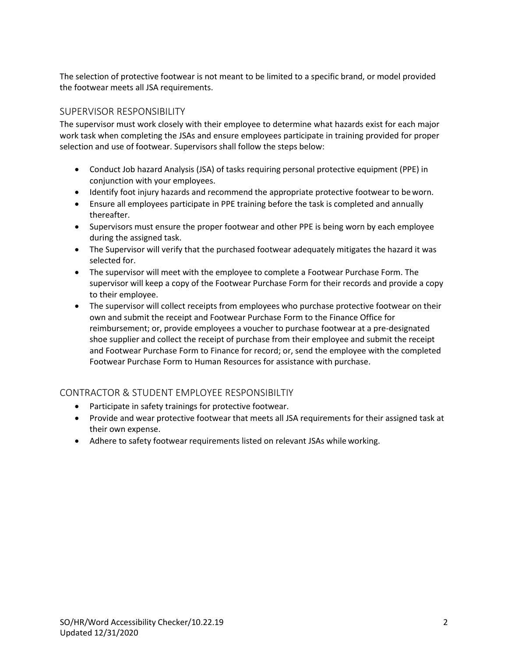The selection of protective footwear is not meant to be limited to a specific brand, or model provided the footwear meets all JSA requirements.

# SUPERVISOR RESPONSIBILITY

The supervisor must work closely with their employee to determine what hazards exist for each major work task when completing the JSAs and ensure employees participate in training provided for proper selection and use of footwear. Supervisors shall follow the steps below:

- Conduct Job hazard Analysis (JSA) of tasks requiring personal protective equipment (PPE) in conjunction with your employees.
- Identify foot injury hazards and recommend the appropriate protective footwear to beworn.
- Ensure all employees participate in PPE training before the task is completed and annually thereafter.
- Supervisors must ensure the proper footwear and other PPE is being worn by each employee during the assigned task.
- The Supervisor will verify that the purchased footwear adequately mitigates the hazard it was selected for.
- The supervisor will meet with the employee to complete a Footwear Purchase Form. The supervisor will keep a copy of the Footwear Purchase Form for their records and provide a copy to their employee.
- The supervisor will collect receipts from employees who purchase protective footwear on their own and submit the receipt and Footwear Purchase Form to the Finance Office for reimbursement; or, provide employees a voucher to purchase footwear at a pre-designated shoe supplier and collect the receipt of purchase from their employee and submit the receipt and Footwear Purchase Form to Finance for record; or, send the employee with the completed Footwear Purchase Form to Human Resources for assistance with purchase.

## CONTRACTOR & STUDENT EMPLOYEE RESPONSIBILTIY

- Participate in safety trainings for protective footwear.
- Provide and wear protective footwear that meets all JSA requirements for their assigned task at their own expense.
- Adhere to safety footwear requirements listed on relevant JSAs while working.